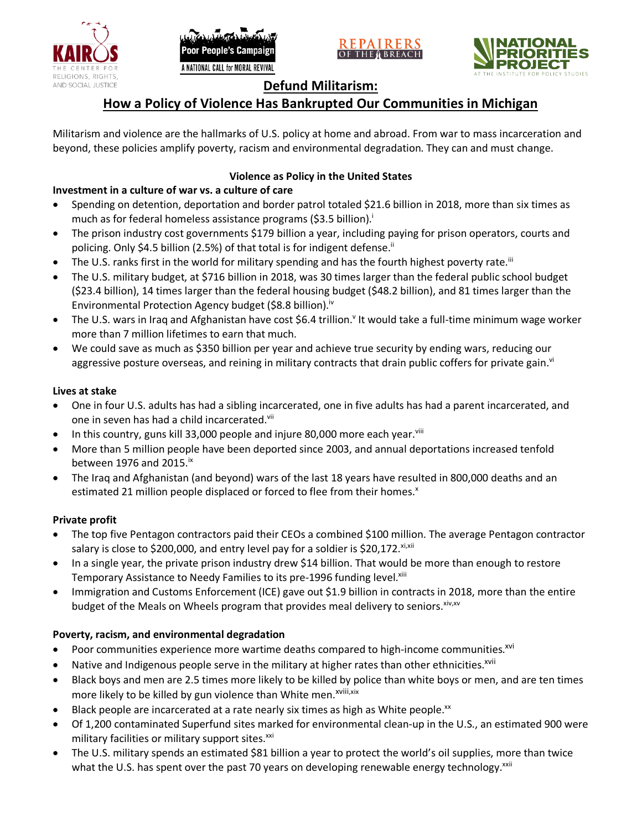





# **Defund Militarism:**

# **How a Policy of Violence Has Bankrupted Our Communities in Michigan**

Militarism and violence are the hallmarks of U.S. policy at home and abroad. From war to mass incarceration and beyond, these policies amplify poverty, racism and environmental degradation. They can and must change.

## **Violence as Policy in the United States**

# **Investment in a culture of war vs. a culture of care**

- Spending on detention, deportation and border patrol totaled \$21.6 billion in 2018, more than six times as much as for federal homeless assistance programs (\$3.5 billion).<sup>i</sup>
- The prison industry cost governments \$179 billion a year, including paying for prison operators, courts and policing. Only \$4.5 billion (2.5%) of that total is for indigent defense.<sup>ii</sup>
- The U.S. ranks first in the world for military spending and has the fourth highest poverty rate.<sup>iii</sup>
- The U.S. military budget, at \$716 billion in 2018, was 30 times larger than the federal public school budget (\$23.4 billion), 14 times larger than the federal housing budget (\$48.2 billion), and 81 times larger than the Environmental Protection Agency budget (\$8.8 billion).<sup>iv</sup>
- The U.S. wars in Iraq and Afghanistan have cost \$6.4 trillion.<sup>v</sup> It would take a full-time minimum wage worker more than 7 million lifetimes to earn that much.
- We could save as much as \$350 billion per year and achieve true security by ending wars, reducing our aggressive posture overseas, and reining in military contracts that drain public coffers for private gain.<sup>vi</sup>

### **Lives at stake**

- One in four U.S. adults has had a sibling incarcerated, one in five adults has had a parent incarcerated, and one in seven has had a child incarcerated.vii
- In this country, guns kill 33,000 people and injure 80,000 more each year. $v_{\text{lin}}$
- More than 5 million people have been deported since 2003, and annual deportations increased tenfold between 1976 and 2015. $\mathrm{i}$ <sup>x</sup>
- The Iraq and Afghanistan (and beyond) wars of the last 18 years have resulted in 800,000 deaths and an estimated 21 million people displaced or forced to flee from their homes.<sup>x</sup>

#### **Private profit**

- The top five Pentagon contractors paid their CEOs a combined \$100 million. The average Pentagon contractor salary is close to \$200,000, and entry level pay for a soldier is \$20,172. xi,xii
- In a single year, the private prison industry drew \$14 billion. That would be more than enough to restore Temporary Assistance to Needy Families to its pre-1996 funding level.<sup>xiii</sup>
- Immigration and Customs Enforcement (ICE) gave out \$1.9 billion in contracts in 2018, more than the entire budget of the Meals on Wheels program that provides meal delivery to seniors. Xiv, XV

## **Poverty, racism, and environmental degradation**

- Poor communities experience more wartime deaths compared to high-income communities.<sup>xvi</sup>
- Native and Indigenous people serve in the military at higher rates than other ethnicities.<sup>xvii</sup>
- Black boys and men are 2.5 times more likely to be killed by police than white boys or men, and are ten times more likely to be killed by gun violence than White men.<sup>xviii,xix</sup>
- Black people are incarcerated at a rate nearly six times as high as White people.<sup>xx</sup>
- Of 1,200 contaminated Superfund sites marked for environmental clean-up in the U.S., an estimated 900 were military facilities or military support sites.<sup>xxi</sup>
- The U.S. military spends an estimated \$81 billion a year to protect the world's oil supplies, more than twice what the U.S. has spent over the past 70 years on developing renewable energy technology.<sup>xxii</sup>